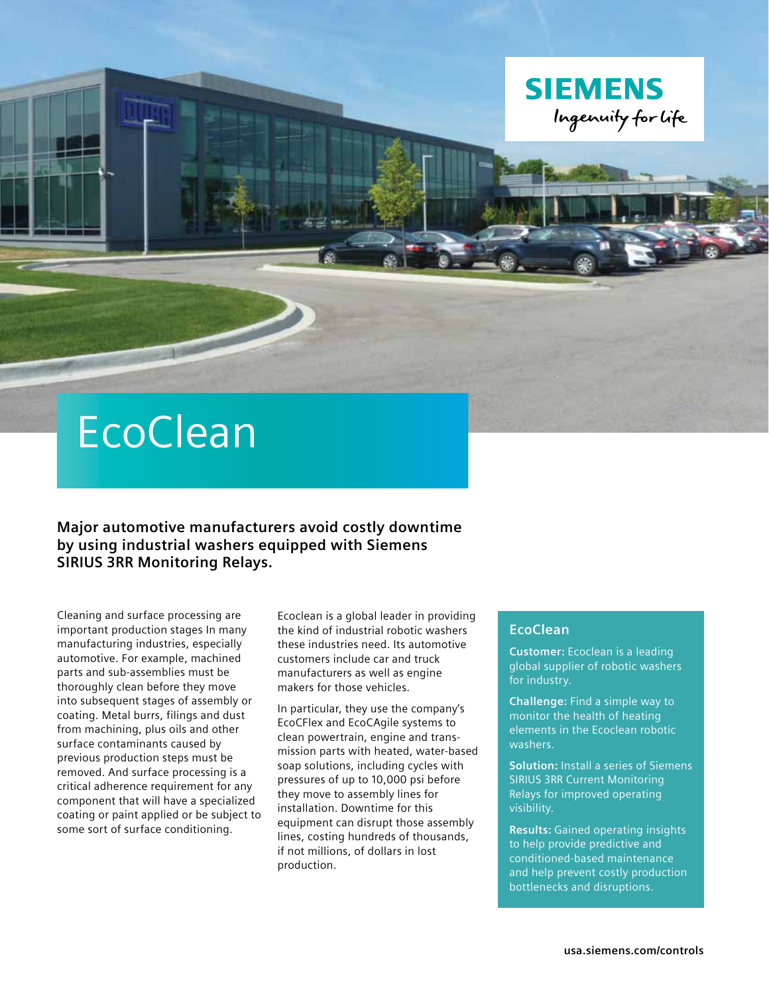

**Major automotive manufacturers avoid costly downtime by using industrial washers equipped with Siemens SIRIUS 3RR Monitoring Relays.**

Cleaning and surface processing are important production stages In many manufacturing industries, especially automotive. For example, machined parts and sub-assemblies must be thoroughly clean before they move into subsequent stages of assembly or coating. Metal burrs, filings and dust from machining, plus oils and other surface contaminants caused by previous production steps must be removed. And surface processing is a critical adherence requirement for any component that will have a specialized coating or paint applied or be subject to some sort of surface conditioning.

Ecoclean is a global leader in providing the kind of industrial robotic washers these industries need. Its automotive customers include car and truck manufacturers as well as engine makers for those vehicles.

In particular, they use the company's EcoCFlex and EcoCAgile systems to clean powertrain, engine and transmission parts with heated, water-based soap solutions, including cycles with pressures of up to 10,000 psi before they move to assembly lines for installation. Downtime for this equipment can disrupt those assembly lines, costing hundreds of thousands, if not millions, of dollars in lost production.

# **EcoClean**

**Customer:** Ecoclean is a leading global supplier of robotic washers for industry.

**SIEMENS** 

Ingenuity for life

**Challenge:** Find a simple way to monitor the health of heating elements in the Ecoclean robotic washers.

**Solution:** Install a series of Siemens SIRIUS 3RR Current Monitoring Relays for improved operating visibility.

**Results:** Gained operating insights to help provide predictive and conditioned-based maintenance and help prevent costly production bottlenecks and disruptions.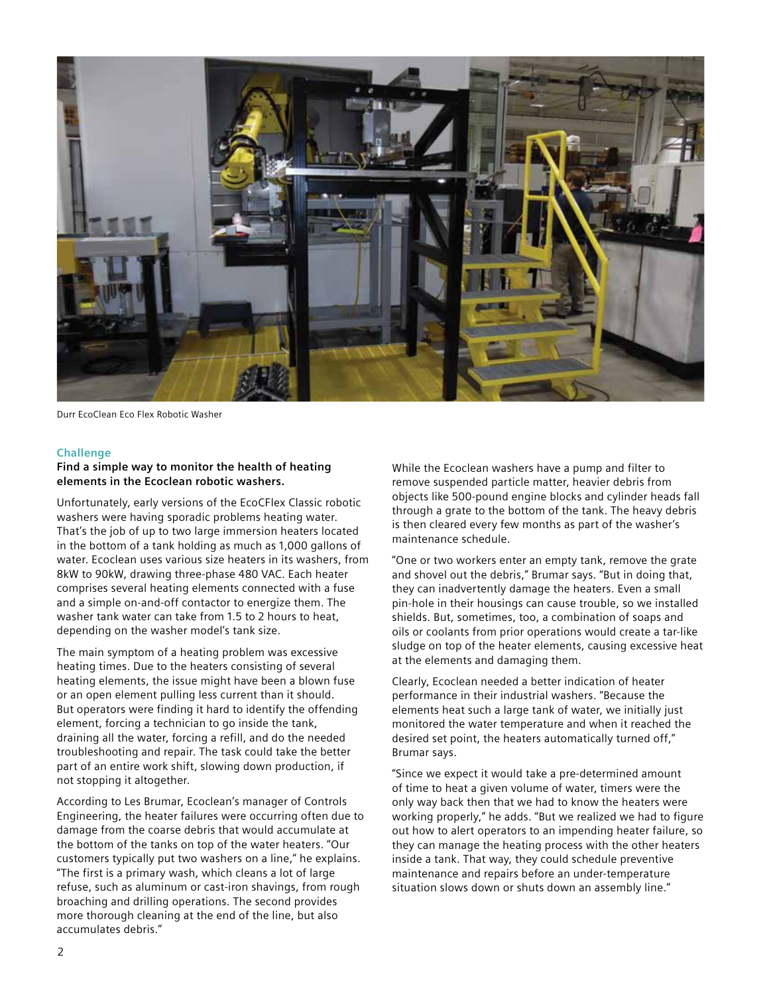

Durr EcoClean Eco Flex Robotic Washer

#### **Challenge**

### **Find a simple way to monitor the health of heating elements in the Ecoclean robotic washers.**

Unfortunately, early versions of the EcoCFlex Classic robotic washers were having sporadic problems heating water. That's the job of up to two large immersion heaters located in the bottom of a tank holding as much as 1,000 gallons of water. Ecoclean uses various size heaters in its washers, from 8kW to 90kW, drawing three-phase 480 VAC. Each heater comprises several heating elements connected with a fuse and a simple on-and-off contactor to energize them. The washer tank water can take from 1.5 to 2 hours to heat, depending on the washer model's tank size.

The main symptom of a heating problem was excessive heating times. Due to the heaters consisting of several heating elements, the issue might have been a blown fuse or an open element pulling less current than it should. But operators were finding it hard to identify the offending element, forcing a technician to go inside the tank, draining all the water, forcing a refill, and do the needed troubleshooting and repair. The task could take the better part of an entire work shift, slowing down production, if not stopping it altogether.

According to Les Brumar, Ecoclean's manager of Controls Engineering, the heater failures were occurring often due to damage from the coarse debris that would accumulate at the bottom of the tanks on top of the water heaters. "Our customers typically put two washers on a line," he explains. "The first is a primary wash, which cleans a lot of large refuse, such as aluminum or cast-iron shavings, from rough broaching and drilling operations. The second provides more thorough cleaning at the end of the line, but also accumulates debris."

While the Ecoclean washers have a pump and filter to remove suspended particle matter, heavier debris from objects like 500-pound engine blocks and cylinder heads fall through a grate to the bottom of the tank. The heavy debris is then cleared every few months as part of the washer's maintenance schedule.

"One or two workers enter an empty tank, remove the grate and shovel out the debris," Brumar says. "But in doing that, they can inadvertently damage the heaters. Even a small pin-hole in their housings can cause trouble, so we installed shields. But, sometimes, too, a combination of soaps and oils or coolants from prior operations would create a tar-like sludge on top of the heater elements, causing excessive heat at the elements and damaging them.

Clearly, Ecoclean needed a better indication of heater performance in their industrial washers. "Because the elements heat such a large tank of water, we initially just monitored the water temperature and when it reached the desired set point, the heaters automatically turned off," Brumar says.

"Since we expect it would take a pre-determined amount of time to heat a given volume of water, timers were the only way back then that we had to know the heaters were working properly," he adds. "But we realized we had to figure out how to alert operators to an impending heater failure, so they can manage the heating process with the other heaters inside a tank. That way, they could schedule preventive maintenance and repairs before an under-temperature situation slows down or shuts down an assembly line."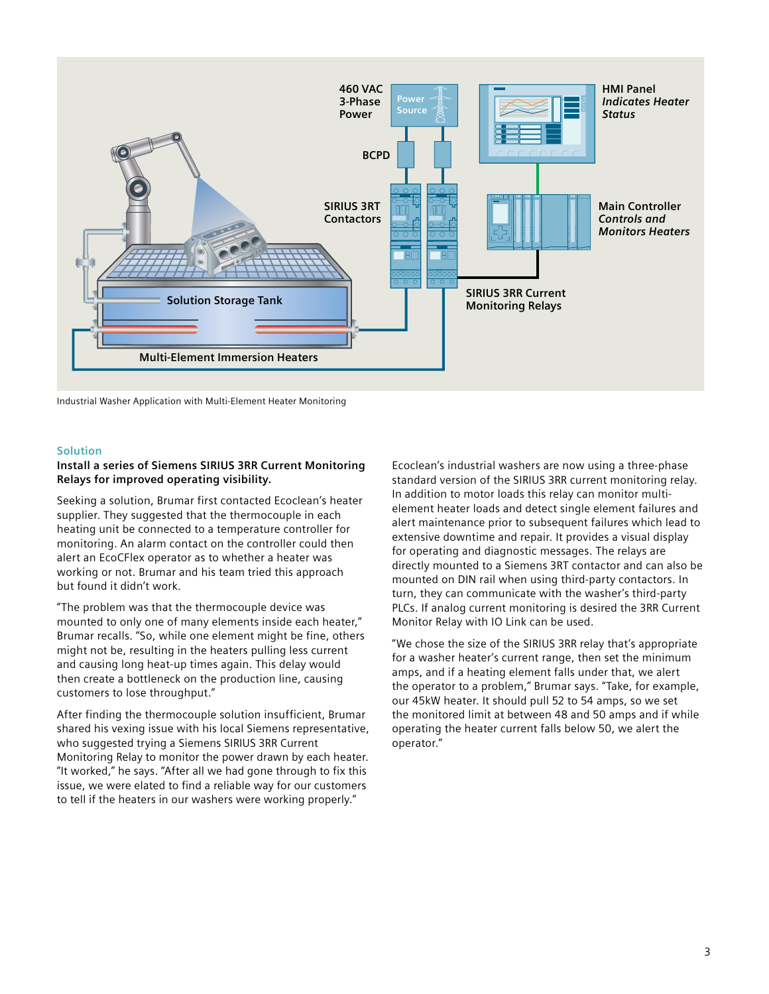

Industrial Washer Application with Multi-Element Heater Monitoring

#### **Solution**

# **Install a series of Siemens SIRIUS 3RR Current Monitoring Relays for improved operating visibility.**

Seeking a solution, Brumar first contacted Ecoclean's heater supplier. They suggested that the thermocouple in each heating unit be connected to a temperature controller for monitoring. An alarm contact on the controller could then alert an EcoCFlex operator as to whether a heater was working or not. Brumar and his team tried this approach but found it didn't work.

"The problem was that the thermocouple device was mounted to only one of many elements inside each heater," Brumar recalls. "So, while one element might be fine, others might not be, resulting in the heaters pulling less current and causing long heat-up times again. This delay would then create a bottleneck on the production line, causing customers to lose throughput."

After finding the thermocouple solution insufficient, Brumar shared his vexing issue with his local Siemens representative, who suggested trying a Siemens SIRIUS 3RR Current Monitoring Relay to monitor the power drawn by each heater. "It worked," he says. "After all we had gone through to fix this issue, we were elated to find a reliable way for our customers to tell if the heaters in our washers were working properly."

Ecoclean's industrial washers are now using a three-phase standard version of the SIRIUS 3RR current monitoring relay. In addition to motor loads this relay can monitor multielement heater loads and detect single element failures and alert maintenance prior to subsequent failures which lead to extensive downtime and repair. It provides a visual display for operating and diagnostic messages. The relays are directly mounted to a Siemens 3RT contactor and can also be mounted on DIN rail when using third-party contactors. In turn, they can communicate with the washer's third-party PLCs. If analog current monitoring is desired the 3RR Current Monitor Relay with IO Link can be used.

"We chose the size of the SIRIUS 3RR relay that's appropriate for a washer heater's current range, then set the minimum amps, and if a heating element falls under that, we alert the operator to a problem," Brumar says. "Take, for example, our 45kW heater. It should pull 52 to 54 amps, so we set the monitored limit at between 48 and 50 amps and if while operating the heater current falls below 50, we alert the operator."